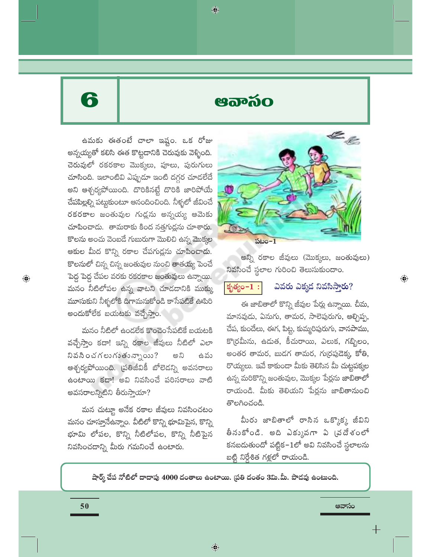# 6

 $\bigoplus$ 

ഋഔര്ഠ

♦

ఉమకు ఈతంటే చాలా ఇష్టం. ఒక రోజు అన్నయ్యతో కలిసి ఈత కొట్టడానికి చెరువుకు వెళ్ళింది. చెరువులో రకరకాల మొక్కలు, పూలు, పురుగులు చూసింది. ఇలాంటివి ఎప్పుడూ ఇంటి దగ్గర చూడలేదే అని ఆశ్చర్యపోయింది. దొరికినట్టే దొరికి జారిపోయే చేపపిల్లల్ని పట్టుకుంటూ ఆనందించింది. నీళ్ళలో జీవించే రకరకాల జంతువుల గుడ్లను అన్నయ్య ఆమెకు చూపించాడు. తామరాకు కింద నత్తగుడ్లను చూశారు. కొలను అంచు వెంబడే గుబురుగా మొలిచి ఉన్న మొక్కల ఆకుల మీద కొన్ని రకాల చేపగుడ్లను చూపించాడు. కొలనులో చిన్న చిన్న జంతువుల నుంచి తాతయ్య పెంచే పెద్ద పెద్ద చేపల వరకు రకరకాల జంతువులు ఉన్నాయి. మనం నీటిలోపల ఉన్న వాటని చూడడానికి ముక్కు మూసుకుని నీళ్ళలోకి దిగామనుకోండి కాసేపటికే ఊపిరి అందుకోలేక బయటకు వచ్చేస్తాం.

మనం నీటిలో ఉండలేక కొంచెం సేపటికే బయటకి వచ్చేస్తాం కదా! ఇన్ని రకాల జీవులు నీటిలో ఎలా  $35305$ గలుగుతున్నాయి? అని ఉ వు ఆశ్చర్యపోయింది. ప్రతిజీవికీ బోలెడన్ని అవసరాలు ఉంటాయి కదా! అవి నివసించే పరిసరాలు వాటి అవసరాలన్నిటిని తీరుస్తాయా?

మన చుట్టూ అనేక రకాల జీవులు నివసించటం మనం చూస్తూనేఉన్నాం. వీటిలో కొన్ని భూమిపైన, కొన్ని భూమి లోపల, కొన్ని నీటిలోపల, కొన్ని నీటిపైన నివసించడాన్ని మీరు గమనించే ఉంటారు.



అన్ని రకాల జీవులు (మొక్కలు, జంతువులు) నివసించే స్థలాల గురించి తెలుసుకుందాం.

కృత్యం $-1$ :

# ఎవరు ఎక్కడ నివసిస్తారు?

 $\bigoplus$ 

ఈ జాబితాలో కొన్ని జీవుల పేర్లు ఉన్నాయి. చీమ, మానవుడు, ఏనుగు, తామర, సాలెపురుగు, ఆల్చిప్ప, చేప, కుందేలు, ఈగ, పిట్ట, కుమ్మరిపురుగు, వానపాము, కొ(రమీను, ఉదుత, కీచురాయి, ఎలుక, గబ్బిలం, అంతర తామర, బుడగ తామర, గుర్రపుడెక్క కోతి, రొయ్యలు. ఇవే కాకుండా మీకు తెలిసిన మీ చుట్టపక్కల ఉన్న మరికొన్ని జంతువుల, మొక్కల పేర్లను జాబితాలో రాయండి. మీకు తెలియని పేర్లను జాబితానుంచి తొలగించండి.

మీరు జాబితాలో రాసిన ఒక్కొక్క జీవిని తీనుకోండి. అది ఎక్కువగా ఏ (వదేశంలో కనబడుతుందో పట్టిక–1లో అవి నివసించే స్థలాలను బట్టి నిర్దేశిత గళ్లలో రాయండి.

ఆవాసం

షార్క్ చేప నోటిలో దాదాపు 4000 దంతాలు ఉంటాయి. (పతి దంతం 3మి.మీ. పొదవు ఉంటుంది.

 $\bigoplus$ 

50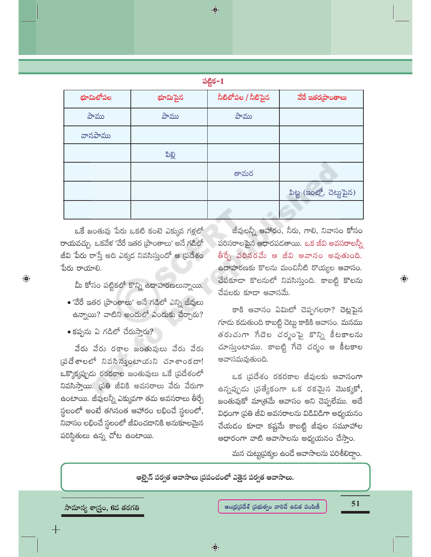$\bigoplus$ 

| . .<br>om. | $\sim$ |  |
|------------|--------|--|

| భూమిలోపల | భూమిపైన | నీటిలోపల / నీటిపైన | వేరే ఇతర్నపాంతాలు         |
|----------|---------|--------------------|---------------------------|
| పాము     | పాము    | పాము               |                           |
| వానపాము  |         |                    |                           |
|          | ಪಿಲ್ಲಿ  |                    |                           |
|          |         | తామర               |                           |
|          |         |                    | పిట్ట (ఇంట్లో, చెట్టుపైన) |
|          |         |                    |                           |

ఒకే జంతువు పేరు ఒకటి కంటె ఎక్కువ గళ్లలో రాయవచ్చు. ఒకవేళ 'వేరే ఇతర [పాంతాలు' అనే గడిలో జీవి పేరు రాస్తే అది ఎక్కడ నివసిస్తుందో ఆ (పదేశం పేరు రాయాలి.

మీ కోసం పట్టికలో కొన్ని ఉదాహరణలున్నాయి.

- $\bullet$  'వేరే ఇతర (పాంతాలు' అనే గడిలో ఎన్ని జీవులు ఉన్నాయి? వాటిని అందులో ఎందుకు చేర్చారు?
- $\bullet$  కప్పను ఏ గడిలో చేరుస్తారు?

 $\bigoplus$ 

వేరు వేరు రకాల జంతువులు వేరు వేరు (పదేశాలలో నివసిస్తుంటాయని చూశాంకదా! ఒక్కొక్కప్పుడు రకరకాల జంతువులు ఒకే (పదేశంలో నివసిస్తాయి. ద్రతి జీవికి అవసరాలు వేరు వేరుగా ఉంటాయి. జీవులన్నీ ఎక్కువగా తమ అవసరాలు తీర్చే స్థలంలో అంటే తగినంత ఆహారం లభించే స్థలంలో, నివాసం లభించే స్థలంలో జీవించడానికి అనుకూలమైన పరిస్థితులు ఉన్న చోట ఉంటాయి.

జీవులన్నీ ఆహారం, నీరు, గాలి, నివాసం కోసం పరిసరాలపైన ఆధారపడతాయి. ఒక జీవి అవసరాలన్నీ తీర్చే పరిసరమే ఆ జీవి ఆవాసం అవుతుంది. ఉదాహరణకు కొలను మంచినీటి రొయ్యల ఆవాసం. చేపకూడా కొలనులో నివసిస్తుంది. కాబట్టి కొలను చేపలకు కూడా ఆవాసమే.

కాకి ఆవాసం ఏమిటో చెప్పగలరా? చెట్లపైన గూదు కదుతుంది కాబట్టి చెట్టు కాకికి ఆవాసం. మనము తరుచుగా గేదెల చర్మంపై కొన్ని కీటకాలను చూస్తుంటాము. కాబట్టి గేదె చర్మం ఆ కీటకాల ఆవాసమవుతుంది.

ఒక (పదేశం రకరకాల జీవులకు ఆవాసంగా ఉన్నప్పుడు (పత్యేకంగా ఒక రకమైన మొక్కకో, జంతువుకో మాత్రమే ఆవాసం అని చెప్పలేము. అదే విధంగా (పతి జీవి అవసరాలను విడివిడిగా అధ్యయనం చేయడం కూడా కష్టమే కాబట్టి జీవుల సమూహాల ఆధారంగా వాటి ఆవాసాలను అధ్యయనం చేస్తాం.

మన చుట్టుప్రక్మల ఉండే ఆవాసాలను పరిశీలిద్దాం.

ఆల్ఫైన్ పర్వత ఆవాసాలు (పపంచంలో ఎత్తైన పర్వత ఆవాసాలు.

సామాన్య శాస్త్రం, 6వ తరగతి

51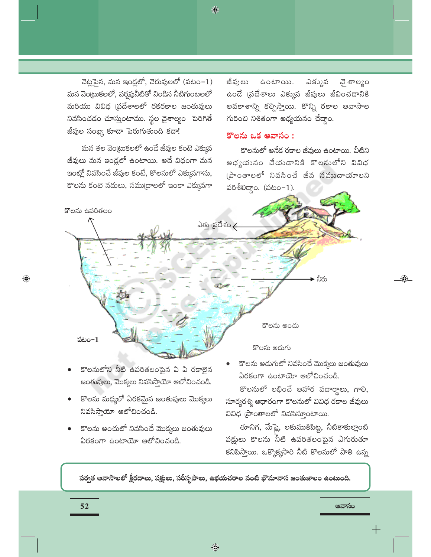చెట్లపైన, మన ఇండ్లలో, చెరువులలో (పటం− $1$ ) మన వెంట్రుకలలో, వర్షప్రనీటితో నిండిన నీటిగుంటలలో మరియు వివిధ (పదేశాలలో రకరకాల జంతువులు నివసించడం చూస్తుంటాము. స్థల వైశాల్యం పెరిగితే జీవుల సంఖ్య కూడా పెరుగుతుంది కదా!

మన తల వెం(టుకలలో ఉండే జీవుల కంటె ఎక్కువ జీవులు మన ఇంద్లలో ఉంటాయి. అదే విధంగా మన ఇంట్లో నివసించే జీవుల కంటే, కొలనులో ఎక్కువగాను, కొలను కంటె నదులు, సముద్రాలలో ఇంకా ఎక్కువగా

జీవులు ఉంటాయి. ఎకు్లువ ವ ಕಾಲ್ಯಂ ఉండే (పదేశాలు ఎక్కువ జీవులు జీవించడానికి అవకాశాన్ని కల్పిస్తాయి. కొన్ని రకాల అవాసాల గురించి నిశితంగా అధ్యయనం చేద్దాం.

# కొలను ఒక ఆవాసం:

కొలనులో అనేక రకాల జీవులు ఉంటాయి. వీటిని అధ్యయనం చేయడానికి కొలనులోని వివిధ (పాంతాలలో నివసించే జీవ నముదాయాలని  $\delta$ 88000. ( $\delta$ 800-1).



◈

- కొలనులోని నీటి ఉపరితలంపైన ఏ ఏ రకాలైన జంతువులు, మొక్కలు నివసిస్తాయో ఆలోచించండి.
- కొలను మధ్యలో ఏరకమైన జంతువులు మొక్కలు నివసిస్తాయో ఆలోచించండి.
- కొలను అంచులో నివసించే మొక్కలు జంతువులు ఏరకంగా ఉంటాయో ఆలోచించండి.

కొలను అదుగులో నివసించే మొక్కలు జంతువులు ఏరకంగా ఉంటాయో ఆలోచించండి.

కొలనులో లభించే ఆహార పదార్థాలు, గాలి, సూర్యరశ్మి ఆధారంగా కొలనులో వివిధ రకాల జీవులు వివిధ (పాంతాలలో నివసిస్తూంటాయి.

తూనిగ, మేఫ్లై, లకుముకిపిట్ట, నీటికాకుల్లాంటి పక్షులు కొలను నీటి ఉపరితలంపైన ఎగురుతూ కనిపిస్తాయి. ఒక్కొక్కసారి నీటి కొలనులో పాతి ఉన్న

ఆవాసం

పర్వత ఆవాసాలలో క్షీరదాలు, పక్షులు, సరీసృపాలు, ఉభయచరాల వంటి భౌమావాస జంతుజాలం ఉంటుంది.

52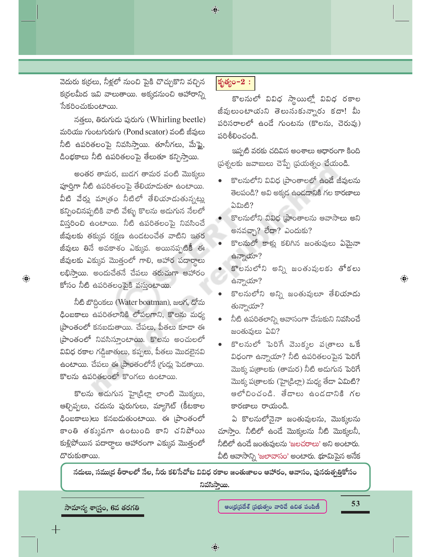వెదురు క(రలు, నీళ్లలో నుంచి పైకి చొచ్చుకొని వచ్చిన క(రలమీద ఇవి వాలుతాయి. అక్కడనుంచి ఆహారాన్ని సేకరించుకుంటాయి.

నత్తలు, తిరుగుడు పురుగు (Whirling beetle) మరియు గుంటగురుగు (Pond scator) వంటి జీవులు నీటి ఉపరితలంపై నివసిస్తాయి. తూనీగలు, మేఫ్లై, డింభకాలు నీటి ఉపరితలంపై తేలుతూ కన్పిస్తాయి.

అంతర తామర, బుడగ తామర వంటి మొక్కలు పూర్తిగా నీటి ఉపరితలంపై తేలియాదుతూ ఉంటాయి. వీటి వేర్తు మాత్రం నీటిలో తేలియాడుతున్నట్లు కన్పించినప్పటికి వాటి వేళ్ళు కొలను అడుగున నేలలో విస్తరించి ఉంటాయి. నీటి ఉపరితలంపై నివసించే జీవులకు తక్కువ రక్షణ ఉండటంచేత వాటిని ఇతర జీవులు తినే అవకాశం ఎక్కువ. అయినప్పటికీ ఈ జీవులకు ఎక్కువ మొత్తంలో గాలి, ఆహార పదార్థాలు లభిసాయి. అందుచేతనే చేపలు తరుచుగా ఆహారం కోసం నీటి ఉపరితలంపైకి వస్తుంటాయి.

 $\bigoplus$ 

నీటి బొద్దింకలు (Water boatman), జలగ, దోమ ధింబకాలు ఉపరితలానికి లోపలగాని, కొలను మధ్య (పాంతంలో కనబదుతాయి. చేపలు, పీతలు కూడా ఈ [పాంతంలో నివసిస్తూంటాయి. కొలను అంచులలో వివిధ రకాల గడ్డిజాతులు, కప్పలు, పీతలు మొదలైనవి ఉంటాయి. చేపలు ఈ (పాంతంలోనే (గుడ్లు పెడతాయి. కొలను ఉపరితలంలో కొంగలు ఉంటాయి.

కొలను అడుగున హైడ్రిల్లా లాంటి మొక్కలు, ఆల్చిప్పలు, చదును పురుగులు, మ్యాగెట్ (కీటకాల ఢింబకాలు)లు కనబదుతుంటాయి. ఈ (పాంతంలో కాంతి తక్కువగా ఉంటుంది కాని చనిపోయి కుళ్లిపోయిన పదార్థాలు ఆహారంగా ఎక్కువ మొత్తంలో దొరుకుతాయి.

# కృత్యం– $2:$

 $\bigcirc$ 

కొలనులో వివిధ స్థాయిల్లో వివిధ రకాల జీవులుంటాయని తెలుసుకున్నారు కదా! మీ పరిసరాలలో ఉండే గుంటను (కొలను, చెరువు) పరిశీలించండి.

ఇప్పటి వరకు చదివిన అంశాలు ఆధారంగా కింది (పశ్నలకు జవాబులు చెప్పే (పయత్నం చేయండి.

- కొలనులోని వివిధ (పాంతాలలో ఉండే జీవులను తెలపండి? అవి అక్కడ ఉండడానికి గల కారణాలు ఏమిటి?
- కొలనులోని వివిధ (పాంతాలను ఆవాసాలు అని అనవచ్చా? లేదా? ఎందుకు?
- కొలనులో కాళ్లు కలిగిన జంతువులు ఏమైనా ఉన్నాయా?
- కొలనులోని అన్ని జంతువులకు తోకలు ఉన్నాయా?
- కొలనులోని అన్ని జంతువులూ తేలియాడు తున్నాయా?
- నీటి ఉపరితలాన్ని ఆవాసంగా చేసుకుని నివసించే జంతువులు ఏవి?
- కొలనులో పెరిగే మొక్కల ప(తాలు ఒకే విధంగా ఉన్నాయా? నీటి ఉపరితలంపైన పెరిగే మొక్క ప(తాలకు (తామర) నీటి అదుగున పెరిగే మొక్క ప(తాలకు (హై(డిల్లా) మధ్య తేదా ఏమిటి? ఆలోచించండి. తేడాలు ఉండడానికి గల కారణాలు రాయండి.

ఏ కొలనులోనైనా జంతువులను, మొక్కలను చూస్తాం. నీటిలో ఉండే మొక్కలను నీటి మొక్కలనీ, నీటిలో ఉండే జంతువులను 'జలచరాలు' అని అంటారు. వీటి ఆవాసాన్ని 'జలావాసం' అంటారు. భూమిపైన అనేక

నదులు, సమ్ముద తీరాలలో నేల, నీరు కలిసేచోట వివిధ రకాల జంతుజాలం ఆహారం, ఆవాసం, పునరుత్పత్రికోసం నివసిస్తాయి.

సామాన్య శాస్ర్టం, 6వ తరగతి

ఆంధ్రప్రదేశ్ (పభుత్వం వారిచే ఉచిత పంపిణీ

53

 $\textcircled{\scriptsize\textsf{P}}$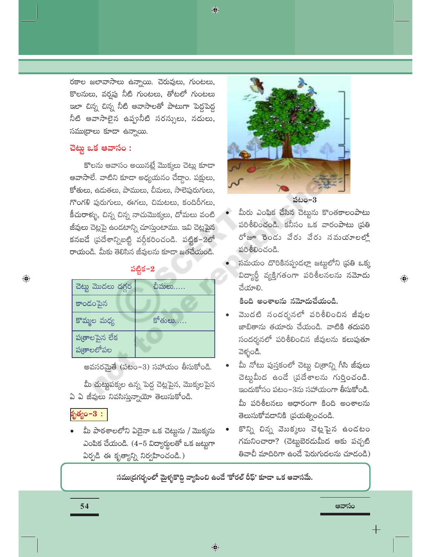♦

రకాల జలావాసాలు ఉన్నాయి. చెరువులు, గుంటలు, కొలనులు, వర్షపు నీటి గుంటలు, తోటలో గుంటలు ఇలా చిన్న చిన్న నీటి ఆవాసాలతో పాటుగా పెద్దపెద్ద నీటి ఆవాసాలైన ఉప్పునీటి సరస్సులు, నదులు, సముద్రాలు కూడా ఉన్నాయి.

# చెట్టు ఒక ఆవాసం $:$

కొలను ఆవాసం అయినట్లే మొక్కలు చెట్లు కూడా ఆవాసాలే. వాటిని కూడా అధ్యయనం చేద్దాం. పక్షులు, కోతులు, ఉదుతలు, పాములు, చీమలు, సాలెపురుగులు, గొంగళి పురుగులు, ఈగలు, చిమటలు, కందిరీగలు, కీచురాళ్ళు, చిన్న చిన్న నాచుమొక్కలు, దోమలు వంటి జీవులు చెట్లపై ఉండటాన్ని చూస్తుంటాము. ఇవి చెట్లపైన కనబడే (పదేశాన్నిబట్టి వర్గీకరించండి. పట్టిక–2లో రాయండి. మీకు తెలిసిన జీవులను కూడా జతచేయండి.

# పట్టిక $-2$

| చెట్లు మొదలు దగ్గర          | చీమలు  |
|-----------------------------|--------|
| కాందంపైన                    |        |
| కొమ్మల మధ్య                 | కోతులు |
| పఱ్రాలపైన లేక<br>ప్రతాలలోపల |        |

అవసరమైతే (పటం–3) సహాయం తీసుకోండి.

మీ చుట్టుపక్కల ఉన్న పెద్ద చెట్లపైన, మొక్కలపైన ఏ ఏ జీవులు నివసిస్తున్నాయో తెలుసుకోండి.

# కృత్యం $-3:$

 $\bigoplus$ 

మీ పాఠశాలలోని ఏదైనా ఒక చెట్టును / మొక్కసు ఎంపిక చేయండి. (4−5 విద్యార్థులతో ఒక జట్టగా ఏర్పడి ఈ కృత్యాన్ని నిర్వహించండి.)





- మీరు ఎంపిక చేసిన చెట్టును కొంతకాలంపాటు పరిశీలించండి. కనీసం ఒక వారంపాటు (పతి రోజూ రెండు వేరు వేరు నమయాలల్లో పరిశీలించండి.
- సమయం దొరికినప్పుడల్లా జట్టులోని (పతి ఒక్క విద్యార్థీ వ్యక్తిగతంగా పరిశీలనలను నమోదు చేయాలి.

 $\bigoplus$ 

#### కింది అంశాలను నమోదుచేయండి.

- మొదటి సందర్శనలో పరిశీలించిన జీవుల జాబితాను తయారు చేయండి. వాటికి తదుపరి సందర్శనలో పరిశీలించిన జీవులను కలుపుతూ వెళ్ళండి.
- మీ నోటు పుస్తకంలో చెట్టు చిత్రాన్ని గీసి జీవులు చెట్టుమీద ఉండే (పదేశాలను గుర్తించండి. ఇందుకోసం పటం–3ను సహాయంగా తీసుకోండి. మీ పరిశీలనలు ఆధారంగా కింది అంశాలను తెలుసుకోవడానికి వ్రయత్నించండి.
- కొన్ని చిన్న వెబక్కలు చెట్లపైన ఉండటం గమనించారా? (చెట్టబెరడుమీద ఆకు పచ్చటి తివాచీ మాదిరిగా ఉండే పెరుగుదలను చూడండి)

ఆవాసం

సముద్రగర్భంలో మైళ్ళకొద్ది వ్యాపించి ఉందే 'కోరల్ రీఫ్' కూడా ఒక ఆవాసమే.

54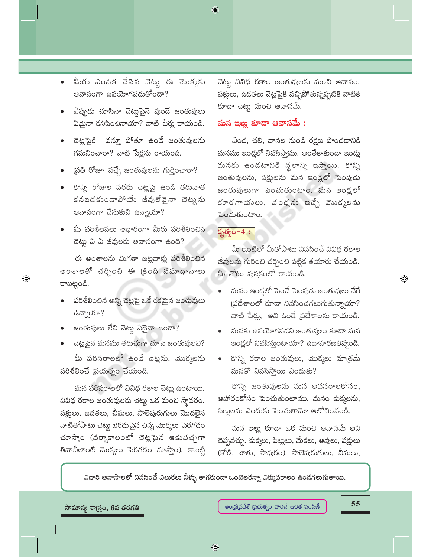- మీరు ఎంపిక చేసిన చెట్టు ఈ మొక్కకు ఆవాసంగా ఉపయోగపడుతోందా?
- ఎప్పుడు చూసినా చెట్టుపైనే వుండే జంతువులు ఏమైనా కనిపించినాయా? వాటి పేర్లు రాయండి.
- చెట్లపైకి `వస్తూ పోతూ ఉండే జంతువులను గమనించారా? వాటి పేర్లను రాయండి.
- (పతి రోజూ వచ్చే జంతువులను గుర్తించారా?
- కొన్ని రోజుల వరకు చెట్లపై ఉండి తరువాత కనబడకుండాపోయే జీవులేవైనా చెట్టును ఆవాసంగా చేసుకుని ఉన్నాయా?
- మీ పరిశీలనలు ఆధారంగా మీరు పరిశీలించిన చెట్టు ఏ ఏ జీవులకు ఆవాసంగా ఉంది?

ఈ అంశాలను మిగతా జట్లవాళ్లు పరిశీలించిన అంశాలతో చర్చించి ఈ క్రింది నమాధానాలు రాబట్టండి.

- పరిశీలించిన అన్ని చెట్లపై ఒకే రకమైన జంతువులు ఉన్నాయా?
- జంతువులు లేని చెట్టు ఏదైనా ఉందా?

 $\bm{\mathrm{\odot}}$ 

చెట్లపైన మనము తరుచుగా చూసే జంతువులేవి?

మీ పరిసరాలలో ఉండే చెట్లను, మొక్కలను పరిశీలించే (పయత్నం చేయండి.

మన పరిసరాలలో వివిధ రకాల చెట్లు ఉంటాయి. వివిధ రకాల జంతువులకు చెట్టు ఒక మంచి స్థావరం. పక్షులు, ఉడతలు, చీమలు, సాలెపురుగులు మొదలైన వాటితోపాటు చెట్టు బెరదుపైన చిన్న మొక్కలు పెరగడం చూస్తాం (వర్వాకాలంలో చెట్లపైన ఆకుపచ్చగా తివాచీలాంటి మొక్కలు పెరగడం చూస్తాం). కాబట్టి చెట్టు వివిధ రకాల జంతువులకు మంచి ఆవాసం. పక్షులు, ఉడతలు చెట్లపైకి వచ్చిపోతున్నప్పటికి వాటికి కూడా చెట్టు మంచి ఆవాసమే.

### మన ఇల్లు కూడా ఆవాసమే :

ఎండ, చలి, వానల నుండి రక్షణ పొందడానికి మనము ఇండ్లలో నివసిస్తాము. అంతేకాకుండా ఇండ్లు మనకు ఉండటానికి స్థలాన్ని ఇస్తాయి. కొన్ని జంతువులను, పక్షులను మన ఇండ్లలో పెంపుడు జంతువులుగా పెంచుతుంటాం. మన ఇండ్లలో కూరగాయులు, వండ్లను ఇచ్చే వెబక్కలను పెంచుతుంటాం.

# $\frac{1}{2}$ త్యం- $4:$

 $\bigcirc$ 

మీ ఇంటిలో మీతోపాటు నివసించే వివిధ రకాల జీవులను గురించి చర్చించి పట్టిక తయారు చేయండి. .<br>మీ నోటు పుస్తకంలో రాయండి.

- మనం ఇండ్లలో పెంచే పెంపుడు జంతువులు వేరే  $\beta$ (పదేశాలలో కూడా నివసించగలుగుతున్నాయా? వాటి పేర్లు, అవి ఉండే ప్రదేశాలను రాయండి.
- మనకు ఉపయోగపడని జంతువులు కూడా మన ఇండ్లలో నివసిస్తుంటాయా? ఉదాహరణలివ్వండి.
- కొన్ని రకాల జంతువులు, మొక్కలు మాత్రమే మనతో నివసిస్తాయి ఎందుకు?

కొన్ని జంతువులను మన అవసరాలకోసం, ఆహారంకోసం పెంచుతుంటాము. మనం కుక్కలను, పిల్లులను ఎందుకు పెంచుతామో ఆలోచించండి.

మన ఇల్లు కూడా ఒక మంచి ఆవాసమే అని చెప్పవచ్చు. కుక్కలు, పిల్లులు, మేకలు, ఆవులు, పక్షులు (కోడి, బాతు, పావురం), సాలెపురుగులు, చీమలు,

ఎదారి ఆవాసాలలో నివసించే ఎలుకలు నీళ్ళు తాగకుందా ఒంటెలకన్నా ఎక్కువకాలం ఉందగలుగుతాయి.

```
సామాన్య శాస్త్రం, 6వ తరగతి
```
55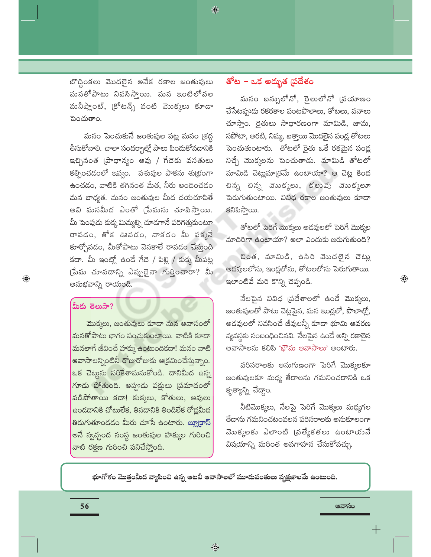బొద్దింకలు మొదలైన అనేక రకాల జంతువులు మనతోపాటు నివసిస్తాయి. మన ఇంటిలోపల మనీప్లాంట్, (కోటన్స్ వంటి వెుుక్కలు కూడా పెంచుతాం.

మనం పెంచుకునే జంతువుల పట్ల మనం (శద్ద .<br>తీసుకోవాలి. చాలా సందర్భాల్లో పాలు పిందుకోవదానికి ఇచ్చినంత (పాధాన్యం ఆవు / గేదెకు వసతులు కల్పించడంలో ఇవ్వం. పశువుల పాకను శుభ్రంగా ఉంచడం, వాటికి తగినంత మేత, నీరు అందించడం మన బాధ్యత. మనం జంతువుల మీద దయచూపితే అవి మనమీద ఎంతో (పేమను చూపిస్తాయి. మీ పెంపుడు కుక్క మిమ్మల్ని చూడగానే పరిగెత్తుకుంటూ రావడం, తోక ఊపడం, నాకడం మీ పక్కనే కూర్చోవడం, మీతోపాటు వెనకాలే రావడం చేస్తుంది కదా. మీ ఇంట్లో ఉండే గేదె / పిల్లి / కుక్క మీపట్ల (పేమ చూపడాన్ని ఎప్పుడైనా గుర్తించారా? మీ అనుభవాన్ని రాయండి.

# మీకు తెలుసా?

 $\bigoplus$ 

మొక్కలు, జంతువులు కూడా మన ఆవాసంలో మనతోపాటు భాగం పంచుకుంటాయి. వాటికి కూడా మనలాగే జీవించే హక్కు ఉంటుందికదా! మనం వాటి ఆవాసాలన్నింటినీ రోజురోజుకు ఆక్రమించేస్తున్నాం. ఒక చెట్టును నరికేశామనుకోండి. దానిమీద ఉన్న గూడు పోతుంది. అప్పుడు పక్షులు (పమాదంలో పడిపోతాయి కదా! కుక్కలు, కోతులు, ఆవులు ఉండదానికి చోటులేక, తినదానికి తిండిలేక రోడ్లమీద తిరుగుతూండడం మీరు చూసే ఉంటారు. బ్యాకాస్ అనే స్వచ్ఛంద సంస్థ జంతువుల హక్కుల గురించి వాటి రక్షణ గురించి పనిచేస్తోంది.

# తోట – ఒక అద్భుత (పదేశం

♦

మనం బస్సులోనో, రైలులోనో (పయాణం చేసేటప్పుడు రకరకాల పంటపొలాలు, తోటలు, వనాలు చూస్తాం. రైతులు సాధారణంగా మామిడి, జామ, సపోటా, అరటి, నిమ్మ, బత్తాయి మొదలైన పండ్ల తోటలు పెంచుతుంటారు. తోటలో రైతు ఒకే రకమైన పండ్ల నిచ్చే మొక్కలను పెంచుతాడు. మామిడి తోటలో మామిడి చెట్లుమాత్రమే ఉంటాయా? ఆ చెట్ల కింద చిన్న చిన్న వెబక్కలు, కలువు వెబక్కలూ పెరుగుతుంటాయి. వివిధ రకాల జంతువులు కూడా కనిపిస్తాయి.

తోటలో పెరిగే మొక్కలు అడవులలో పెరిగే మొక్కల మాదిరిగా ఉంటాయా? అలా ఎందుకు జరుగుతుంది?

చింత, మామిడి, ఉసిరి వెుుదలైన చెట్లు అడవులలోను, ఇండ్లలోను, తోటలలోను పెరుగుతాయి. ఇలాంటివే మరి కొన్ని చెప్పండి.

 $\bigoplus$ 

నేలపైన వివిధ (పదేశాలలో ఉండే మొక్కలు, జంతువులతో పాటు చెట్లపైన, మన ఇండ్లలో, పొలాల్లో, అడవులలో నివసించే జీవులన్నీ కూడా భూమి ఆవరణ వ్యవస్థకు సంబంధించినవి. నేలపైన ఉండే అన్ని రకాలైన ఆవాసాలను కలిపి 'భౌమ ఆవాసాలు' అంటారు.

పరిసరాలకు అనుగుణంగా పెరిగే మొక్కలకూ జంతువులకూ మధ్య తేదాలను గమనించ<mark>దానికి ఒక</mark> కృత్యాన్ని చేద్దాం.

నీటిమొక్కలు, నేలపై పెరిగే మొక్కలు మధ్యగల తేదాను గమనించటంవలన పరిసరాలకు అనుకూలంగా మొక్కలకు ఎలాంటి (పత్యేకతలు ఉంటాయనే విషయాన్ని మరింత అవగాహన చేసుకోవచ్చు.

ఆవాసం

భూగోళం మొత్తంమీద వ్యాపించి ఉన్న ఆటవీ ఆవాసాలలో మూడువంతులు వృక్షజాలమే ఉంటుంది.

56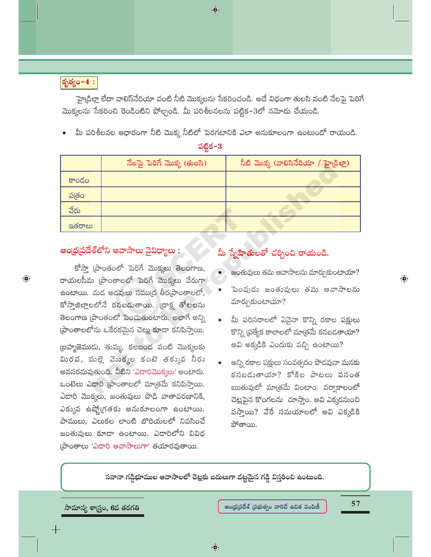# కృత్యం- $4:$

 $\bigoplus$ 

హైడ్రిల్లా లేదా వాలిస్వేరియా వంటి నీటి మొక్కలను సేకరించండి. అదే విధంగా తులసి వంటి నేలపై పెరిగే మొక్కలను సేకరించి రెండింటిని పోల్చండి. మీ పరిశీలనలను పట్టిక–3లో నమోదు చేయండి.

 $\bigcirc$ 

మీ పరిశీలనల ఆధారంగా నీటి మొక్క నీటిలో పెరగటానికి ఎలా అనుకూలంగా ఉంటుందో రాయండి.

|        | నేలపై పెరిగే మొక్క (తులసి) | నీటి మొక్క (వాలిసినేరియా / హై(డిల్లా) |  |  |
|--------|----------------------------|---------------------------------------|--|--|
| కాందం  |                            |                                       |  |  |
| పత్రం  |                            |                                       |  |  |
| వేరు   |                            |                                       |  |  |
| ఇతరాలు |                            |                                       |  |  |

# ఆంధ్రప్రదేశ్లోని ఆవాసాలు వైవిధ్యాలు :

కోస్తా [పాంతంలో పెరిగే మొక్కలు తెలంగాణ, రాయలసీమ (పాంతాలలో పెరిగే మొక్కలు వేరుగా ఉంటాయి. మడ అడవులు సముద్ర తీర్రప్రాంతాలలో, కోస్తాజిల్లాలలోనే కనబడుతాయి. (దాక్ష తోటలను తెలంగాణ (పాంతంలో పెంచుతుంటారు. అలాగే అన్ని ప్రాంతాలలోను ఒకేరకమైన చెట్లు కూడా కనిపిస్తాయి.

(బహ్మజెముడు, తుమ్మ, కలబంద వంటి మొక్కలకు మిరవ, మల్లె వెుుక్కల కంటె తక్కువ నీరు అవసరమవుతుంది. వీటిని 'ఎడారిమొక్కలు' అంటారు. ఒంటెలు ఎడారి (పాంతాలలో మాత్రమే కనిపిస్తాయి. ఎదారి మొక్కలు, జంతువులు పొడి వాతావరణానికి, ఎక్కువ ఉష్మోగతకు అనుకూలంగా ఉంటాయి. పాములు, ఎలుకల లాంటి బొరియలలో నివసించే జంతువులు కూడా ఉంటాయి. ఎడారిలోని వివిధ (పాంతాలు 'ఎదారి ఆవాసాలుగా' తయారవుతాయి.

# మీ స్నేహితులతో చర్చించి రాయండి.

- జంతువులు తమ ఆవాసాలను మార్చుకుంటాయా?
- పెంపుడు జంతువులు తమ ఆవాసాలను మార్చుకుంటాయా?
- మీ పరిసరాలలో ఏవైనా కొన్ని రకాల పక్షులు కొన్ని ప్రత్యేక కాలాలలో మాత్రమే కనబడతాయా? అవి అక్కడికి ఎందుకు వచ్చి ఉంటాయి?
- అన్ని రకాల పక్షులు సంవత్సరం పొడవునా మనకు కనబడుతాయా? కోకిల పాటలు వసంత ఋతువులో మాత్రమే వింటాం. వర్వాకాలంలో చెట్లపైన కొంగలను చూస్తాం. అవి ఎక్కడనుంచి వస్తాయి? వేరే సమయాలలో అవి ఎక్కడికి పోతాయి.

సవానా గడ్డిభూముల ఆవాసాలలో చెట్లకు బదులుగా దట్టమైన గడ్డి విస్తరించి ఉంటుంది.

సామాన్య శాస్<mark>ర్రం, 6వ తరగతి</mark>

57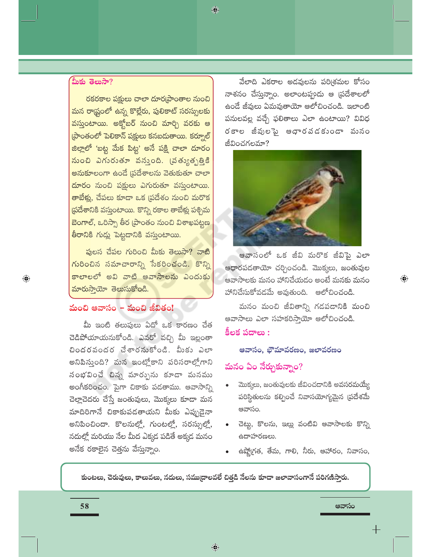#### మీకు తెలుసా?

రకరకాల పక్షులు చాలా దూర(పాంతాల నుంచి మన రాష్ట్రంలో ఉన్న కొల్లేరు, పులికాట్ సరస్సులకు వస్తుంటాయి. అక్హోబర్ నుంచి మార్చి వరకు ఆ (పాంతంలో పెలికాన్ పక్షులు కనబదుతాయి. కర్నూల్ జిల్లాలో 'బట్ట మేక పిట్ట' అనే పక్షి చాలా దూరం నుంచి ఎగురుతూ వన్నుంది. (వత్యుత్పత్తికి అనుకూలంగా ఉండే (పదేశాలను వెతుకుతూ చాలా దూరం నుంచి పక్షులు ఎగురుతూ వస్తుంటాయి. తాబేళ్లు, చేపలు కూడా ఒక (పదేశం నుంచి మరొక ప్రదేశానికి వస్తుంటాయి. కొన్ని రకాల తాబేళ్లు పశ్చిమ బెంగాల్, ఒరిస్సా తీర (పాంతం నుంచి విశాఖపట్టణ తీరానికి గుడ్లు పెట్టడానికి వస్తుంటాయి.

ఫులస చేపల గురించి మీకు తెలుసా? వాటి గురించిన సమాచారాన్ని సేకరించండి. కొన్ని కాలాలలో అవి వాటి ఆవాసాలను ఎందుకు <mark>మారుస్తాయో తెలుసుకోండి.</mark>

# మంచి ఆవాసం – మంచి జీవితం!

మీ ఇంటి తలుపులు ఏదో ఒక కారణం చేత చెడిపోయాయనుకోండి. ఎవరో వచ్చి మీ ఇల్లంతా చిందరవందర చేశారనుకోండి. మీకు ఎలా అనిపిస్తుంది? మన ఇంట్లోకాని పరిసరాల్లోగాని సంభవించే చిన్న మార్పును కూడా మనము అంగీకరించం. పైగా చికాకు పడతాము. ఆవాసాన్ని చెల్లాచెదరు చేస్తే జంతువులు, మొక్కలు కూడా మన మాదిరిగానే చికాకుపడతాయని మీకు ఎప్పుడైనా అనిపించిందా. కొలనుల్లో, గుంటల్లో, సరస్ఫుల్లో, నదుల్లో మరియు నేల మీద ఎక్కడ పడితే అక్కడ మనం అనేక రకాలైన చెత్తను వేస్తున్నాం.

వేలాది ఎకరాల అడవులను పరి(శమల కోసం నాశనం చేస్తున్నాం. అలాంటప్పుడు ఆ (పదేశాలలో ఉండే జీవులు ఏమవుతాయో ఆలోచించండి. ఇలాంటి పనులవల్ల వచ్చే ఫలితాలు ఎలా ఉంటాయి? వివిధ రకాల జీవులపై ఆధారవడకుండా మనం జీవించగలమా?



ఆవాసంలో ఒక జీవి మరొక జీవిపై ఎలా ఆధారపడతాయో చర్చించండి. మొక్కలు, జంతువుల ఆవాసాలకు మనం హానిచేయడం అంటే మనకు మనం హానిచేసుకోవడమే అవుతుంది. ఆలోచించండి.

 $\bigoplus$ 

మనం మంచి జీవితాన్ని గడపడానికి మంచి ఆవాసాలు ఎలా సహకరిస్తాయో ఆలోచించండి. కీలక పదాలు :

#### ఆవాసం, భౌమావరణం, జలావరణం

# మనం ఏం నేర్చుకున్నాం?

- మొక్కలు, జంతువులకు జీవించడానికి అవసరమయ్యే పరిస్థితులను కల్పించే నివాసయోగ్యమైన (పదేశమే ఆవాసం.
- చెట్టు, కొలను, ఇల్లు వంటివి ఆవాసాలకు కొన్ని ఉదాహరణలు.
- ఉష్మోగ్రత, తేమ, గాలి, నీరు, ఆహారం, నివాసం,

ఆవాసం

కుంటలు, చెరువులు, కాలువలు, నదులు, సముద్రాలవలే చిత్తడి నేలను కూడా జలావాసంగానే పరిగణిస్తారు.

 $\bigoplus$ 

◈

58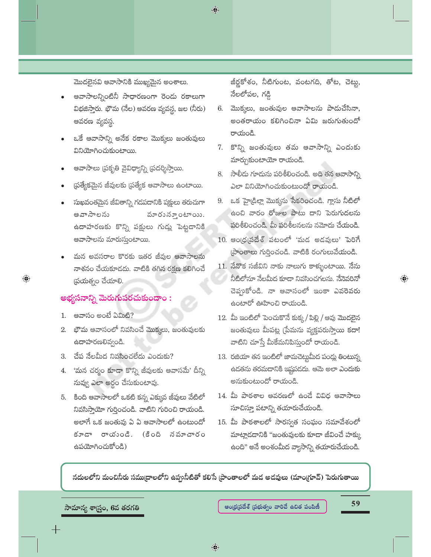$\bigcirc$ 

మొదలైనవి ఆవాసానికి ముఖ్యమైన అంశాలు.

- ఆవాసాలన్నింటినీ సాధారణంగా రెండు రకాలుగా విభజిస్తారు. భౌమ (నేల) ఆవరణ వ్యవస్థ, జల (నీరు) ఆవరణ వ్యవస్థ.
- ఒకే ఆవాసాన్ని అనేక రకాల మొక్కలు జంతువులు వినియోగించుకుంటాయి.
- ఆవాసాలు (పకృతి వైవిధ్యాన్ని (పదర్శిస్తాయి.
- ప్రత్యేకమైన జీవులకు ప్రత్యేక ఆవాసాలు ఉంటాయి.
- సుఖవంతమైన జీవితాన్ని గడపదానికి పక్షులు తరుచుగా వూరు స్తూంటాయి. ఆవాసాలను ఉదాహరణకు కొన్ని పక్షులు గుడ్లు పెట్టడానికి ఆవాసాలను మారుస్తుంటాయి.
- మన అవసరాల కొరకు ఇతర జీవుల ఆవాసాలను నాశనం చేయకూడదు. వాటికి తగిన రక్షణ కలిగించే  $\omega$ యత్నం చేయాలి.

#### అభ్యసనాన్ని మెరుగుపరచుకుందాం :

1. ఆవాసం అంటే ఏమిటి?

 $\bigoplus$ 

- 2. భౌమ ఆవాసంలో నివసించే మొక్కలు, జంతువులకు ఉదాహరణలివ్వండి.
- 3. చేప నేలమీద నివసించలేదు ఎందుకు?
- 4. 'మన చర్మం కూడా కొన్ని జీవులకు ఆవాసమే' దీన్ని నువ్వు ఎలా అర్థం చేసుకుంటావు.
- 5. కింది ఆవాసాలలో ఒకటి కన్న ఎక్కువ జీవులు వేటిలో నివసిస్తాయో గుర్తించండి. వాటిని గురించి రాయండి. అలాగే ఒక జంతువు ఏ ఏ ఆవాసాలలో ఉంటుందో కూడా రాయంండి. (కింది నమాచారం ఉపయోగించుకోండి)

జీర్లకోశం, నీటిగుంట, వంటగది, తోట, చెట్లు, నేలలోపల, గడ్డి

- 6. మొక్కలు, జంతువుల ఆవాసాలను పాడుచేసినా, అంతరాయం కలిగించినా ఏమి జరుగుతుందో రాయండి.
- 7. కొన్ని జంతువులు తమ ఆవాసాన్ని ఎందుకు మార్చుకుంటాయో రాయండి.
- 8. సాలీదు గూదును పరిశీలించండి. అది తన ఆవాసాన్ని ఎలా వినియోగించుకుంటుందో రాయండి.
- 9. ఒక హైడ్రిల్లా మొక్కను సేకరించండి. గ్లాసు నీటిలో ఉంచి వారం రోజుల పాటు దాని పెరుగుదలను పరిశీలించండి. మీ పరిశీలనలను నమోదు చేయండి.
- 10. ఆం(ధ(పదేశ్ పటంలో 'మడ అడవులు' పెరిగే ప్రాంతాలు గుర్తించండి. వాటికి రంగులువేయండి.
- 11. నేనొక సజీవిని నాకు నాలుగు కాళ్ళుంటాయి. నేను నీటిలోనూ నేలమీద కూడా నివసించగలను. నేనెవరినో చెప్తుకోండి. నా అవాసంలో ఇంకా ఎవరెవరు ఉంటారో ఊహించి రాయండి.
- 12. మీ ఇంటిలో పెంచుకొనే కుక్క/ పిల్లి / ఆవు మొదలైన జంతువులు మీపట్ల (పేమను వ్యక్తపరుస్తాయి కదా! వాటిని చూస్తే మీకేమనిపిస్తుందో రాయండి.
- 13. రజియా తన ఇంటిలో జామచెట్టుమీద పండ్లు తింటున్న ఉడతను తరమదానికి ఇష్టపడదు. ఆమె అలా ఎందుకు అనుకుంటుందో రాయండి.
- 14. మీ పాఠశాల ఆవరణలో ఉండే వివిధ ఆవాసాలు సూచిస్తూ పటాన్ని తయారుచేయండి.
- 15. మీ పాఠశాలలో సారస్వత సంఘం సమావేశంలో మాట్లాదదానికి "జంతువులకు కూడా జీవించే హక్కు ఉంది" అనే అంశంమీద వ్యాసాన్ని తయారుచేయండి.

నదులలోని మంచినీరు సముద్రాలలోని ఉప్పునీటితో కలిసే (పాంతాలలో మద అదవులు (మాం(గూవ్) పెరుగుతాయి

సామాన్య శా<sub>[</sub>స్తం, 6వ తరగతి

59

 $\textcolor{black}{\textcolor{black}{\bigoplus}}$